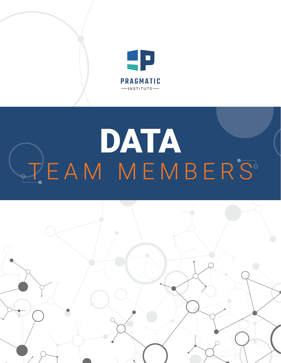

# DATA TEAM MEMBERS

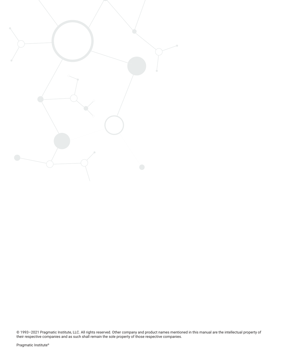

© 1993–2021 Pragmatic Institute, LLC. All rights reserved. Other company and product names mentioned in this manual are the intellectual property of their respective companies and as such shall remain the sole property of those respective companies.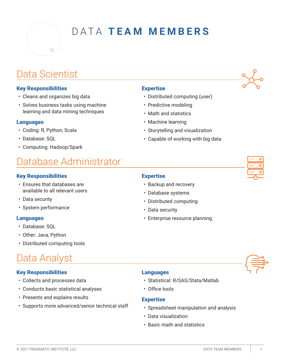

# DATA **TEAM MEMBERS**

### Data Scientist

#### Key Responsibilities

- Cleans and organizes big data
- Solves business tasks using machine learning and data mining techniques

#### Languages

- Coding: R, Python, Scala
- Database: SQL
- Computing: Hadoop/Spark

# Database Administrator

#### Key Responsibilities

- Ensures that databases are available to all relevant users
- Data security
- System performance

#### Languages

- Database: SQL
- Other: Java, Python
- Distributed computing tools

## Data Analyst

#### Key Responsibilities

- Collects and processes data
- Conducts basic statistical analyses
- Presents and explains results
- Supports more advanced/senior technical staff

#### Expertise

- Distributed computing (user)
- Predictive modeling
- Math and statistics
- Machine learning
- Storytelling and visualization
- Capable of working with big data

#### Expertise

- Backup and recovery
- Database systems
- Distributed computing
- Data security
- Enterprise resource planning



#### Languages

- Statistical: R/SAS/Stata/Matlab
- Office tools

#### **Expertise**

- Spreadsheet manipulation and analysis
- Data visualization
- Basic math and statistics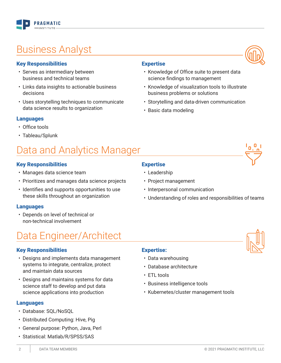# Business Analyst

**PRAGMATIC** 

#### Key Responsibilities

- Serves as intermediary between business and technical teams
- Links data insights to actionable business decisions
- Uses storytelling techniques to communicate data science results to organization

#### Languages

- Office tools
- Tableau/Splunk

# Data and Analytics Manager

#### Key Responsibilities

- Manages data science team
- Prioritizes and manages data science projects
- Identifies and supports opportunities to use these skills throughout an organization

#### Languages

• Depends on level of technical or non-technical involvement

### Data Engineer/Architect

#### Key Responsibilities

- Designs and implements data management systems to integrate, centralize, protect and maintain data sources
- Designs and maintains systems for data science staff to develop and put data science applications into production

#### Languages

- Database: SQL/NoSQL
- Distributed Computing: Hive, Pig
- General purpose: Python, Java, Perl
- Statistical: Matlab/R/SPSS/SAS

#### Expertise

**Expertise** 

- Leadership
- Project management

• Basic data modeling

- Interpersonal communication
- Understanding of roles and responsibilities of teams

• Knowledge of Office suite to present data

• Knowledge of visualization tools to illustrate

• Storytelling and data-driven communication

science findings to management

business problems or solutions

- Expertise:
- Data warehousing
- Database architecture
- ETL tools
- Business intelligence tools
- Kubernetes/cluster management tools





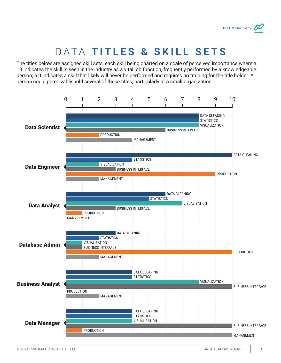# DATA **TITLES & SKILL SETS**

The titles below are assigned skill sets, each skill being charted on a scale of perceived importance where a 10 indicates the skill is seen in the industry as a vital job function, frequently performed by a knowledgeable person; a 0 indicates a skill that likely will never be performed and requires no training for the title holder. A person could perceivably hold several of these titles, particularly at a small organization.

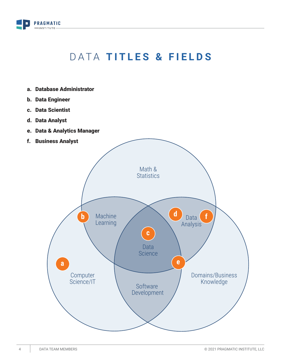

# DATA **TITLES & FIELDS**

- a. Database Administrator
- b. Data Engineer
- c. Data Scientist
- d. Data Analyst
- e. Data & Analytics Manager
- f. Business Analyst

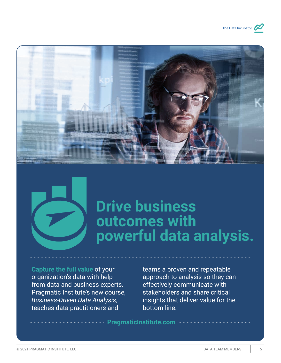





# **Drive business outcomes with powerful data analysis.**

**Capture the full value** of your organization's data with help from data and business experts. Pragmatic Institute's new course, *Business-Driven Data Analysis*, teaches data practitioners and

teams a proven and repeatable approach to analysis so they can effectively communicate with stakeholders and share critical insights that deliver value for the bottom line.

**PragmaticInstitute.com**